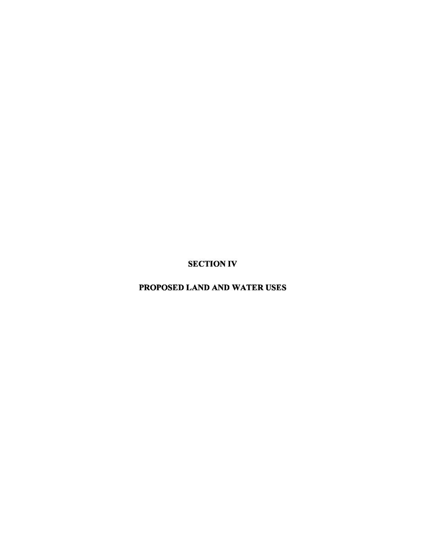SECTION IV

PROPOSED LAND AND WATER USES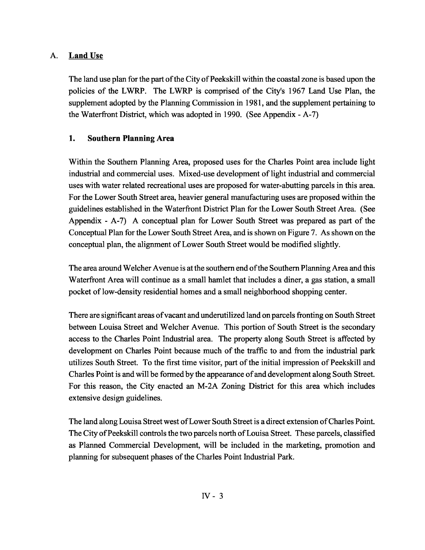## A. Land Use

The land use plan for the part of the City of Peekskill within the coastal zone is based upon the policies of the LWRP. The LWRP is comprised of the City's 1967 Land Use Plan, the supplement adopted by the Planning Commission in 1981, and the supplement pertaining to the Waterfront District, which was adopted in 1990. (See Appendix - A-7)

## 1. Southern Planning Area

Within the Southern Planning Area, proposed uses for the Charles Point area include light industrial and commercial uses. Mixed-use development of light industrial and commercial uses with water related recreational uses are proposed for water-abutting parcels in this area. For the Lower South Street area, heavier general manufacturing uses are proposed within the guidelines established in the Waterfront District Plan for the Lower South Street Area. (See Appendix - A-7) A conceptual plan for Lower South Street was prepared as part of the Conceptual Plan for the Lower South Street Area, and is shown on Figure 7. As shown on the conceptual plan, the alignment of Lower South Street would be modified slightly.

The area around Welcher Avenue is at the southern end ofthe Southern Planning Area and this Waterfront Area will continue as a small hamlet that includes a diner, a gas station, a small pocket oflow-density residential homes and a small neighborhood shopping center.

There are significant areas ofvacant and underutilized land on parcels fronting on South Street between Louisa Street and Welcher Avenue. This portion of South Street is the secondary access to the Charles Point Industrial area. The property along South Street is affected by development on Charles Point because much of the traffic to and from the industrial park utilizes South Street. To the first time visitor, part of the initial impression of Peekskill and Charles Point is and will be formed by the appearance of and development along South Street. For this reason, the City enacted an M-2A Zoning District for this area which includes extensive design guidelines.

The land along Louisa Street west of Lower South Street is a direct extension of Charles Point. The City of Peekskill controls the two parcels north of Louisa Street. These parcels, classified as Planned Commercial Development, will be included in the marketing, promotion and planning for subsequent phases of the Charles Point Industrial Park.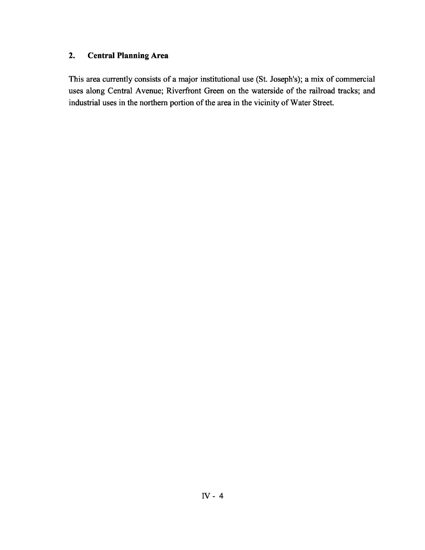## **2. Central Planning Area**

This area currently consists of a major institutional use (St. Joseph's); a mix of commercial uses along Central Avenue; Riverfront Green on the waterside of the railroad tracks; and industrial uses in the northern portion of the area in the vicinity of Water Street.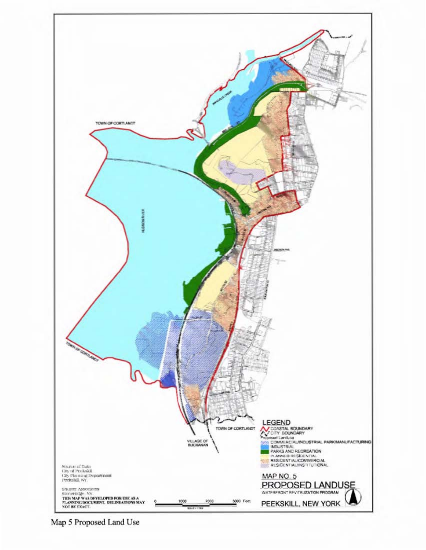

Map 5 Proposed Land Use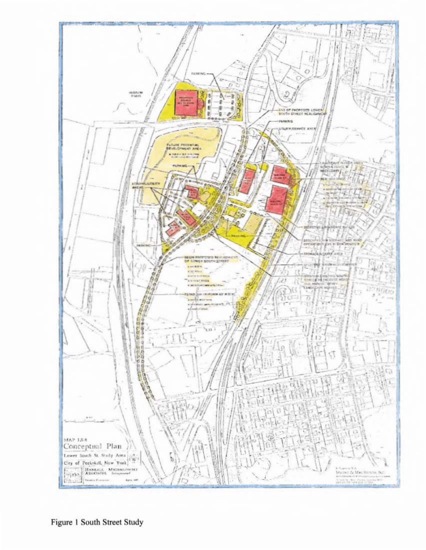

Figure 1 South Street Study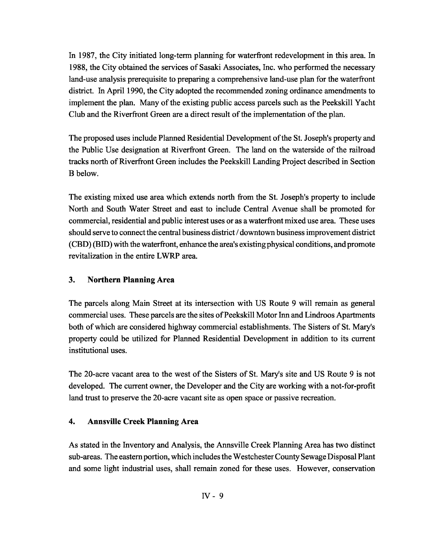In 1987, the City initiated long-term planning for waterfront redevelopment in this area. In 1988, the City obtained the services of Sasaki Associates, Inc. who performed the necessary land-use analysis prerequisite to preparing a comprehensive land-use plan for the waterfront district. In April 1990, the City adopted the recommended zoning ordinance amendments to implement the plan. Many of the existing public access parcels such as the Peekskill Yacht Club and the Riverfront Green are a direct result of the implementation of the plan.

The proposed uses include Planned Residential Development ofthe St. Joseph's property and the Public Use designation at Riverfront Green. The land on the waterside of the railroad tracks north of Riverfront Green includes the Peekskill Landing Project described in Section B below.

The existing mixed use area which extends north from the St. Joseph's property to include North and South Water Street and east to include Central Avenue shall be promoted for commercial, residential and public interest uses or as a waterfront mixed use area. These uses should serve to connect the central business district / downtown business improvement district (CBD) (BID) with the waterfront, enhance the area's existing physical conditions, and promote revitalization in the entire LWRP area.

#### 3. Northern Planning Area

The parcels along Main Street at its intersection with US Route 9 will remain as general commercial uses. These parcels are the sites of Peekskill Motor Inn and Lindroos Apartments both of which are considered highway commercial establishments. The Sisters of St. Mary's property could be utilized for Planned Residential Development in addition to its current institutional uses.

The 20-acre vacant area to the west of the Sisters of St. Mary's site and US Route 9 is not developed. The current owner, the Developer and the City are working with a not-for-profit land trust to preserve the 20-acre vacant site as open space or passive recreation.

## 4. Annsville Creek Planning Area

As stated in the Inventory and Analysis, the Annsville Creek Planning Area has two distinct sub-areas. The eastern portion, which includes the Westchester County Sewage Disposal Plant and some light industrial uses, shall remain zoned for these uses. However, conservation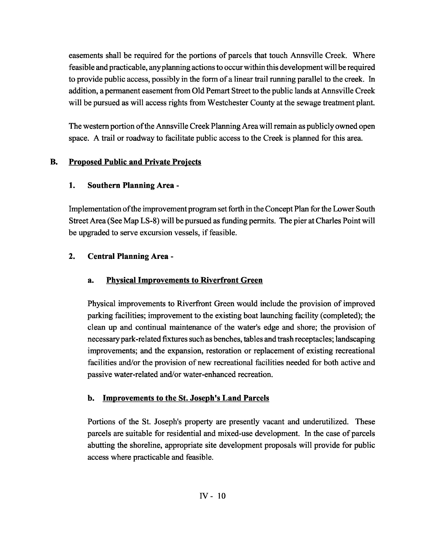easements shall be required for the portions of parcels that touch Annsville Creek. Where feasible and practicable, anyplanning actionsto occurwithin this development will be required to provide public access, possibly in the form of a linear trail running parallel to the creek. In addition, a permanent easement from Old Pemart Street to the public lands at Annsville Creek will be pursued as will access rights from Westchester County at the sewage treatment plant.

The western portion of the Annsville Creek Planning Area will remain as publicly owned open space. A trail or roadway to facilitate public access to the Creek is planned for this area.

# B. Proposed Public and Private Projects

# 1. Southern Planning Area -

Implementation ofthe improvement program setforth in the Concept Plan for the Lower South Street Area (See Map LS-8) will be pursued as funding permits. The pier at Charles Point will be upgraded to serve excursion vessels, if feasible.

# 2. Central Planning Area -

# a. Physical Improvements to Riverfront Green

Physical improvements to Riverfront Green would include the provision of improved parking facilities; improvement to the existing boat launching facility (completed); the clean up and continual maintenance of the water's edge and shore; the provision of necessarypark-related fixtures such as benches, tables and trash receptacles; landscaping improvements; and the expansion, restoration or replacement of existing recreational facilities and/or the provision of new recreational facilities needed for both active and passive water-related and/or water-enhanced recreation.

# b. Improvements to the St. Joseph's Land Parcels

Portions of the St. Joseph's property are presently vacant and underutilized. These parcels are suitable for residential and mixed-use development. In the case of parcels abutting the shoreline, appropriate site development proposals will provide for public access where practicable and feasible.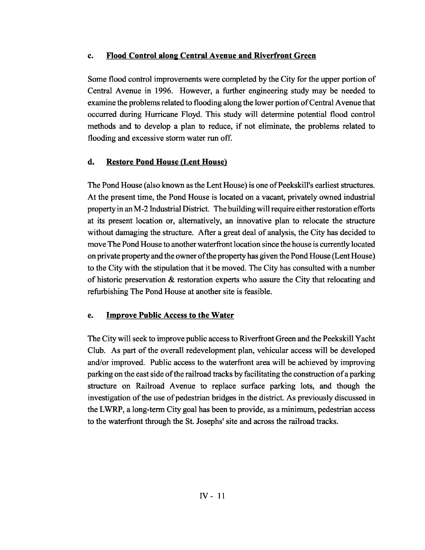#### c. Flood Control along Central Avenue and Riverfront Green

Some flood control improvements were completed by the City for the upper portion of Central Avenue in 1996. However, a further engineering study may be needed to examine the problems related to flooding along the lower portion of Central Avenue that occurred during Hurricane Floyd. This study will determine potential flood control methods and to develop a plan to reduce, if not eliminate, the problems related to flooding and excessive storm water run off.

## d. Restore Pond House (Lent House)

The Pond House (also known as the Lent House) is one of Peekskill's earliest structures. At the present time, the Pond House is located on a vacant, privately owned industrial propertyin anM-2 Industrial District. The buildingwill require eitherrestoration efforts at its present location or, alternatively, an innovative plan to relocate the structure without damaging the structure. After a great deal of analysis, the City has decided to move The Pond House to another waterfront location since the house is currently located on private property and the owner of the property has given the Pond House (Lent House) to the City with the stipulation that it be moved. The City has consulted with a number of historic preservation & restoration experts who assure the City that relocating and refurbishing The Pond House at another site is feasible.

#### e. Improve Public Access to the Water

The City will seek to improve public access to Riverfront Green and the Peekskill Yacht Club. As part of the overall redevelopment plan, vehicular access will be developed and/or improved. Public access to the waterfront area will be achieved by improving parking on the east side of the railroad tracks by facilitating the construction of a parking structure on Railroad Avenue to replace surface parking lots, and though the investigation of the use of pedestrian bridges in the district. As previously discussed in the LWRP, a long-term City goal has been to provide, as a minimum, pedestrian access to the waterfront through the St. Josephs' site and across the railroad tracks.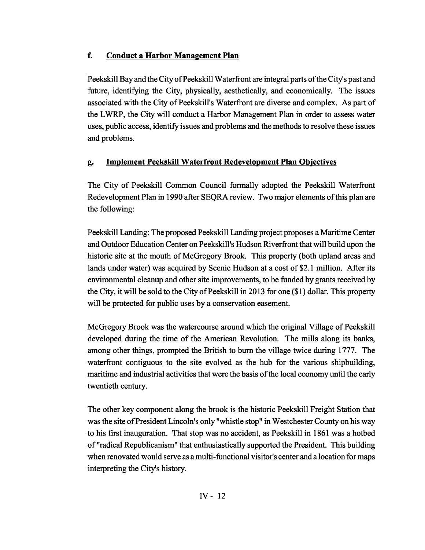## f. Conduct a Harbor Management Plan

Peekskill Bay and the City of Peekskill Waterfront are integral parts of the City's past and future, identifying the City, physically, aesthetically, and economically. The issues associated with the City of Peekskill's Waterfront are diverse and complex. As part of the LWRP, the City will conduct a Harbor Management Plan in order to assess water uses, public access, identify issues and problems and the methods to resolve these issues and problems.

# g. Implement Peekskill Waterfront Redevelopment Plan Objectives

The City of Peekskill Common Council formally adopted the Peekskill Waterfront Redevelopment Plan in 1990 after SEQRA review. Two major elements of this plan are the following:

Peekskill Landing: The proposed Peekskill Landing project proposes a Maritime Center and Outdoor Education Center on Peekskill's Hudson Riverfront that will build upon the historic site at the mouth of McGregory Brook. This property (both upland areas and lands under water) was acquired by Scenic Hudson at a cost of \$2.1 million. After its environmental cleanup and other site improvements, to be funded by grants received by the City, it will be sold to the City of Peekskill in 2013 for one  $(\$1)$  dollar. This property will be protected for public uses by a conservation easement.

McGregory Brook was the watercourse around which the original Village of Peekskill developed during the time of the American Revolution. The mills along its banks, among other things, prompted the British to burn the village twice during 1777. The waterfront contiguous to the site evolved as the hub for the various shipbuilding, maritime and industrial activities that were the basis of the local economy until the early twentieth century.

The other key component along the brook is the historic Peekskill Freight Station that was the site of President Lincoln's only "whistle stop" in Westchester County on his way to his first inauguration. That stop was no accident, as Peekskill in 1861 was a hotbed of "radical Republicanism" that enthusiastically supported the President. This building when renovated would serve as a multi-functional visitor's center and a location for maps interpreting the City's history.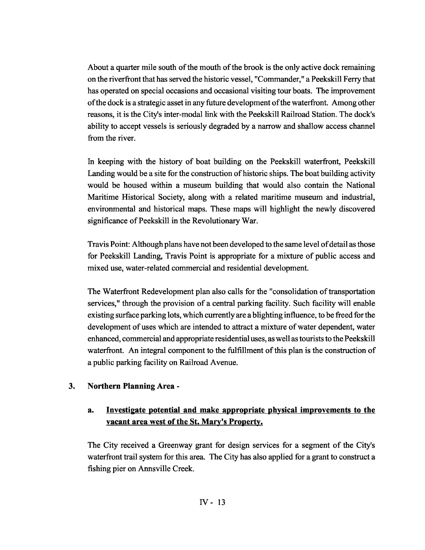About a quarter mile south of the mouth of the brook is the only active dock remaining on the riverfront that has served the historic vessel, "Commander," a Peekskill Ferry that has operated on special occasions and occasional visiting tour boats. The improvement ofthe dock is a strategic asset in any future development ofthe waterfront. Among other reasons, it is the City's inter-modal link with the Peekskill Railroad Station. The dock's ability to accept vessels is seriously degraded by a narrow and shallow access channel from the river.

In keeping with the history of boat building on the Peekskill waterfront, Peekskill Landing would be a site for the construction of historic ships. The boat building activity would be housed within a museum building that would also contain the National Maritime Historical Society, along with a related maritime museum and industrial, environmental and historical maps. These maps will highlight the newly discovered significance of Peekskill in the Revolutionary War.

Travis Point: Although plans have not been developed to the same level of detail as those for Peekskill Landing, Travis Point is appropriate for a mixture of public access and mixed use, water-related commercial and residential development.

The Waterfront Redevelopment plan also calls for the "consolidation oftransportation services," through the provision of a central parking facility. Such facility will enable existing surface parking lots, which currently are a blighting influence, to be freed for the development of uses which are intended to attract a mixture of water dependent, water enhanced, commercial and appropriate residential uses, as well astouriststo the Peekskill waterfront. An integral component to the fulfillment of this plan is the construction of a public parking facility on Railroad Avenue.

#### 3. Northern Planning Area -

## a. Investigate potential and make appropriate physical improvements to the vacant area west of the St. Mary's Property.

The City received a Greenway grant for design services for a segment of the City's waterfront trail system for this area. The City has also applied for a grant to construct a fishing pier on Annsville Creek.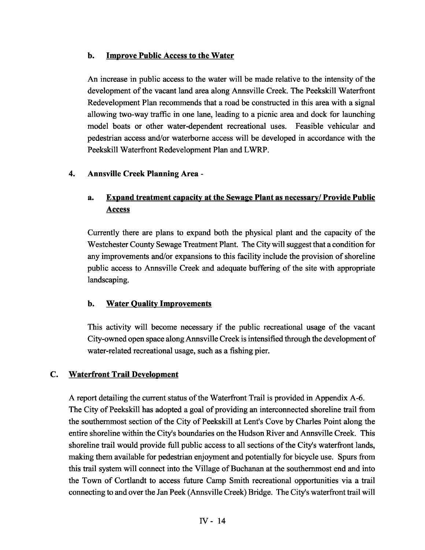#### b. Improve Public Access to the Water

An increase in public access to the water will be made relative to the intensity of the development of the vacant land area along Annsville Creek. The Peekskill Waterfront Redevelopment Plan recommends that a road be constructed in this area with a signal allowing two-way traffic in one lane, leading to a picnic area and dock for launching model boats or other water-dependent recreational uses. Feasible vehicular and pedestrian access and/or waterborne access will be developed in accordance with the Peekskill Waterfront Redevelopment Plan and LWRP.

#### 4. Annsville Creek Planning Area -

## a. Expand treatment capacity at the Sewage Plant as necessary/ Provide Public Access

Currently there are plans to expand both the physical plant and the capacity of the Westchester County Sewage Treatment Plant. The City will suggest that a condition for any improvements and/or expansions to this facility include the provision of shoreline public access to Annsville Creek and adequate buffering of the site with appropriate landscaping.

#### b. Water Quality Improvements

This activity will become necessary if the public recreational usage of the vacant City-owned open space along Annsville Creek is intensified through the development of water-related recreational usage, such as a fishing pier.

#### C. Waterfront Trail Development

A report detailing the current status of the Waterfront Trail is provided in Appendix A-6. The City of Peekskill has adopted a goal of providing an interconnected shoreline trail from the southernmost section of the City of Peekskill at Lent's Cove by Charles Point along the entire shoreline within the City's boundaries on the Hudson River and Annsville Creek. This shoreline trail would provide full public access to all sections of the City's waterfront lands, making them available for pedestrian enjoyment and potentially for bicycle use. Spurs from this trail system will connect into the Village of Buchanan at the southernmost end and into the Town of Cortlandt to access future Camp Smith recreational opportunities via a trail connecting to and over the Jan Peek (Annsville Creek) Bridge. The City's waterfront trail will